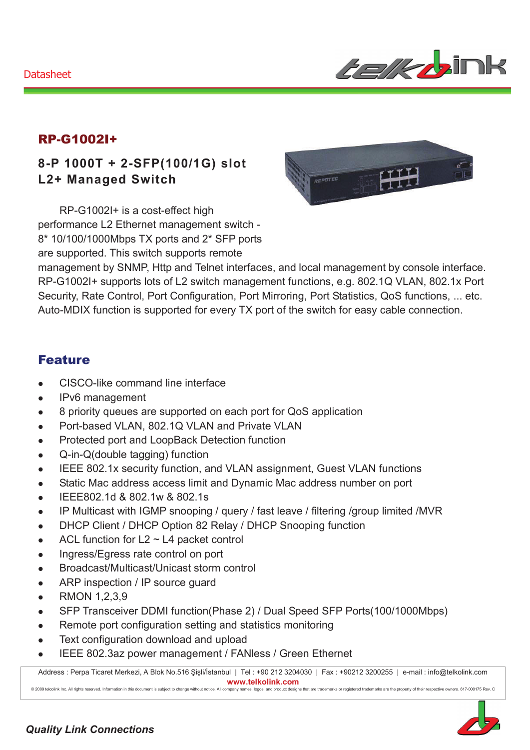

### RP-G1002I+

## **8-P 1000T + 2-SFP(100/1G) slot L2+ Managed Switch**

RP-G1002I+ is a cost-effect high performance L2 Ethernet management switch - 8\* 10/100/1000Mbps TX ports and 2\* SFP ports are supported. This switch supports remote



management by SNMP, Http and Telnet interfaces, and local management by console interface. RP-G1002I+ supports lots of L2 switch management functions, e.g. 802.1Q VLAN, 802.1x Port Security, Rate Control, Port Configuration, Port Mirroring, Port Statistics, QoS functions, ... etc. Auto-MDIX function is supported for every TX port of the switch for easy cable connection.

#### Feature

- CISCO-like command line interface
- IPv6 management
- 8 priority queues are supported on each port for QoS application
- Port-based VLAN, 802.1Q VLAN and Private VLAN
- Protected port and LoopBack Detection function
- $\bullet$  Q-in-Q(double tagging) function
- IEEE 802.1x security function, and VLAN assignment, Guest VLAN functions
- Static Mac address access limit and Dynamic Mac address number on port
- $\bullet$  IEEE802.1d & 802.1w & 802.1s
- IP Multicast with IGMP snooping / query / fast leave / filtering /group limited /MVR
- DHCP Client / DHCP Option 82 Relay / DHCP Snooping function
- ACL function for  $L2 \sim L4$  packet control
- Ingress/Egress rate control on port
- Broadcast/Multicast/Unicast storm control
- ARP inspection / IP source guard
- RMON 1,2,3,9
- SFP Transceiver DDMI function(Phase 2) / Dual Speed SFP Ports(100/1000Mbps)
- Remote port configuration setting and statistics monitoring
- Text configuration download and upload
- IEEE 802.3az power management / FANIess / Green Ethernet

Address : Perpa Ticaret Merkezi, A Blok No.516 Şişli/İstanbul | Tel : +90 212 3204030 | Fax : +90212 3200255 | e-mail : info@telkolink.com  $www.telkolink.com$ @ 2009 telcolink Inc. All rights reserved. Information in this document is subje ct to change without notice . All company name s, logos, and product de signs that are trademarks or registered trademarks are the property of their respective owners. 617-000175 Rev. C

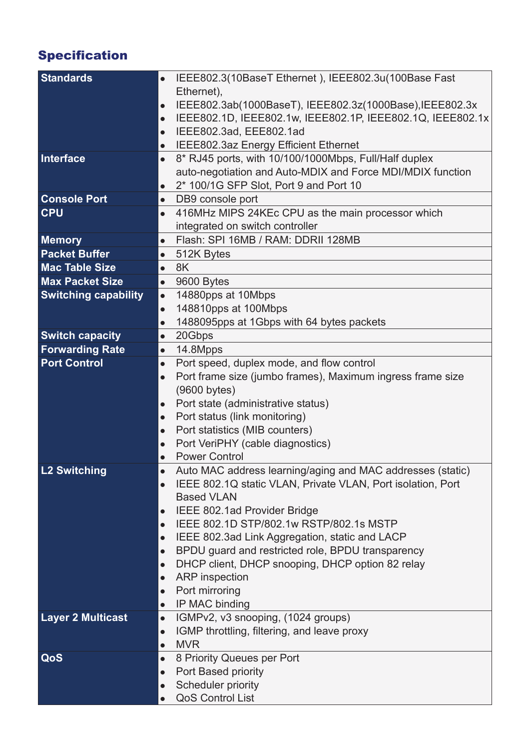# Specification

| <b>Standards</b>            | IEEE802.3(10BaseT Ethernet), IEEE802.3u(100Base Fast<br>$\bullet$        |
|-----------------------------|--------------------------------------------------------------------------|
|                             | Ethernet),                                                               |
|                             | IEEE802.3ab(1000BaseT), IEEE802.3z(1000Base), IEEE802.3x<br>$\bullet$    |
|                             | IEEE802.1D, IEEE802.1w, IEEE802.1P, IEEE802.1Q, IEEE802.1x<br>$\bullet$  |
|                             | IEEE802.3ad, EEE802.1ad<br>$\bullet$                                     |
|                             | IEEE802.3az Energy Efficient Ethernet<br>$\bullet$                       |
| Interface                   | 8* RJ45 ports, with 10/100/1000Mbps, Full/Half duplex<br>$\bullet$       |
|                             | auto-negotiation and Auto-MDIX and Force MDI/MDIX function               |
|                             | 2* 100/1G SFP Slot, Port 9 and Port 10<br>$\bullet$                      |
| <b>Console Port</b>         | DB9 console port<br>$\bullet$                                            |
| <b>CPU</b>                  | 416MHz MIPS 24KEc CPU as the main processor which<br>$\bullet$           |
|                             | integrated on switch controller                                          |
| <b>Memory</b>               | Flash: SPI 16MB / RAM: DDRII 128MB<br>$\bullet$                          |
| <b>Packet Buffer</b>        | 512K Bytes<br>$\bullet$                                                  |
| <b>Mac Table Size</b>       | 8K<br>$\bullet$                                                          |
| <b>Max Packet Size</b>      | 9600 Bytes<br>$\bullet$                                                  |
| <b>Switching capability</b> | 14880pps at 10Mbps<br>$\bullet$                                          |
|                             | 148810pps at 100Mbps<br>$\bullet$                                        |
|                             | 1488095pps at 1Gbps with 64 bytes packets<br>$\bullet$                   |
| <b>Switch capacity</b>      | 20Gbps<br>$\bullet$                                                      |
| <b>Forwarding Rate</b>      | 14.8Mpps<br>$\bullet$                                                    |
| <b>Port Control</b>         | Port speed, duplex mode, and flow control<br>$\bullet$                   |
|                             | Port frame size (jumbo frames), Maximum ingress frame size<br>$\bullet$  |
|                             | (9600 bytes)                                                             |
|                             | Port state (administrative status)<br>$\bullet$                          |
|                             | Port status (link monitoring)<br>$\bullet$                               |
|                             | Port statistics (MIB counters)<br>$\bullet$                              |
|                             | Port VeriPHY (cable diagnostics)<br>$\bullet$                            |
|                             | <b>Power Control</b><br>$\bullet$                                        |
| <b>L2 Switching</b>         | Auto MAC address learning/aging and MAC addresses (static)               |
|                             | IEEE 802.1Q static VLAN, Private VLAN, Port isolation, Port<br>$\bullet$ |
|                             | <b>Based VLAN</b>                                                        |
|                             | IEEE 802.1ad Provider Bridge<br>$\bullet$                                |
|                             | IEEE 802.1D STP/802.1w RSTP/802.1s MSTP<br>$\bullet$                     |
|                             | IEEE 802.3ad Link Aggregation, static and LACP<br>$\bullet$              |
|                             | BPDU guard and restricted role, BPDU transparency<br>$\bullet$           |
|                             | DHCP client, DHCP snooping, DHCP option 82 relay<br>$\bullet$            |
|                             | <b>ARP</b> inspection<br>$\bullet$                                       |
|                             | Port mirroring<br>$\bullet$                                              |
|                             | IP MAC binding<br>$\bullet$                                              |
| <b>Layer 2 Multicast</b>    | IGMPv2, v3 snooping, (1024 groups)<br>$\bullet$                          |
|                             | IGMP throttling, filtering, and leave proxy<br>$\bullet$<br><b>MVR</b>   |
| QoS                         | $\bullet$<br>8 Priority Queues per Port<br>$\bullet$                     |
|                             | Port Based priority<br>$\bullet$                                         |
|                             | Scheduler priority<br>$\bullet$                                          |
|                             | <b>QoS Control List</b><br>$\bullet$                                     |
|                             |                                                                          |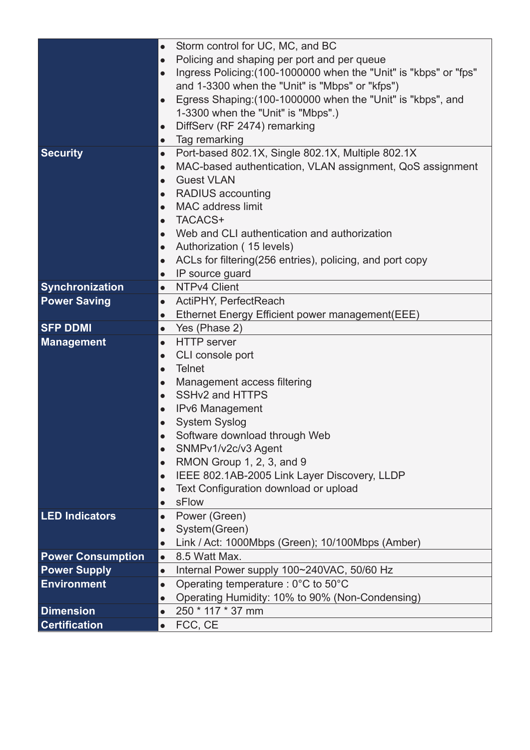|                                           | Storm control for UC, MC, and BC<br>$\bullet$                                     |
|-------------------------------------------|-----------------------------------------------------------------------------------|
|                                           | Policing and shaping per port and per queue<br>$\bullet$                          |
|                                           | Ingress Policing: (100-1000000 when the "Unit" is "kbps" or "fps"<br>$\bullet$    |
|                                           | and 1-3300 when the "Unit" is "Mbps" or "kfps")                                   |
|                                           | Egress Shaping: (100-1000000 when the "Unit" is "kbps", and<br>$\bullet$          |
|                                           | 1-3300 when the "Unit" is "Mbps".)                                                |
|                                           | DiffServ (RF 2474) remarking<br>$\bullet$                                         |
|                                           | Tag remarking<br>$\bullet$                                                        |
| <b>Security</b>                           | Port-based 802.1X, Single 802.1X, Multiple 802.1X<br>$\bullet$                    |
|                                           | MAC-based authentication, VLAN assignment, QoS assignment<br>$\bullet$            |
|                                           | <b>Guest VLAN</b><br>$\bullet$                                                    |
|                                           | <b>RADIUS</b> accounting<br>$\bullet$                                             |
|                                           | <b>MAC</b> address limit<br>$\bullet$                                             |
|                                           | TACACS+<br>$\bullet$                                                              |
|                                           | Web and CLI authentication and authorization<br>$\bullet$                         |
|                                           | Authorization (15 levels)<br>$\bullet$                                            |
|                                           | ACLs for filtering(256 entries), policing, and port copy<br>$\bullet$             |
|                                           | IP source guard<br>$\bullet$                                                      |
| <b>Synchronization</b>                    | NTPv4 Client<br>$\bullet$                                                         |
| <b>Power Saving</b>                       | $\bullet$<br>ActiPHY, PerfectReach                                                |
|                                           | Ethernet Energy Efficient power management (EEE)<br>$\bullet$                     |
| <b>SFP DDMI</b>                           | Yes (Phase 2)<br>$\bullet$                                                        |
|                                           |                                                                                   |
|                                           | <b>HTTP</b> server<br>$\bullet$                                                   |
| <b>Management</b>                         | CLI console port<br>$\bullet$                                                     |
|                                           | <b>Telnet</b><br>$\bullet$                                                        |
|                                           | $\bullet$                                                                         |
|                                           | Management access filtering<br>SSHv2 and HTTPS<br>$\bullet$                       |
|                                           | $\bullet$                                                                         |
|                                           | <b>IPv6 Management</b><br>$\bullet$                                               |
|                                           | <b>System Syslog</b>                                                              |
|                                           | Software download through Web<br>$\bullet$                                        |
|                                           | SNMPv1/v2c/v3 Agent<br>$\bullet$                                                  |
|                                           | RMON Group 1, 2, 3, and 9<br>$\bullet$                                            |
|                                           | IEEE 802.1AB-2005 Link Layer Discovery, LLDP<br>$\bullet$                         |
|                                           | Text Configuration download or upload<br>sFlow<br>$\bullet$                       |
| <b>LED Indicators</b>                     | $\bullet$                                                                         |
|                                           | Power (Green)<br>$\bullet$                                                        |
|                                           | System(Green)<br>$\bullet$                                                        |
|                                           | Link / Act: 1000Mbps (Green); 10/100Mbps (Amber)<br>8.5 Watt Max.<br>$\bullet$    |
| <b>Power Consumption</b>                  | $\bullet$                                                                         |
| <b>Power Supply</b><br><b>Environment</b> | Internal Power supply 100~240VAC, 50/60 Hz<br>$\bullet$                           |
|                                           | Operating temperature : $0^{\circ}$ C to $50^{\circ}$ C<br>$\bullet$              |
| <b>Dimension</b>                          | Operating Humidity: 10% to 90% (Non-Condensing)<br>250 * 117 * 37 mm<br>$\bullet$ |